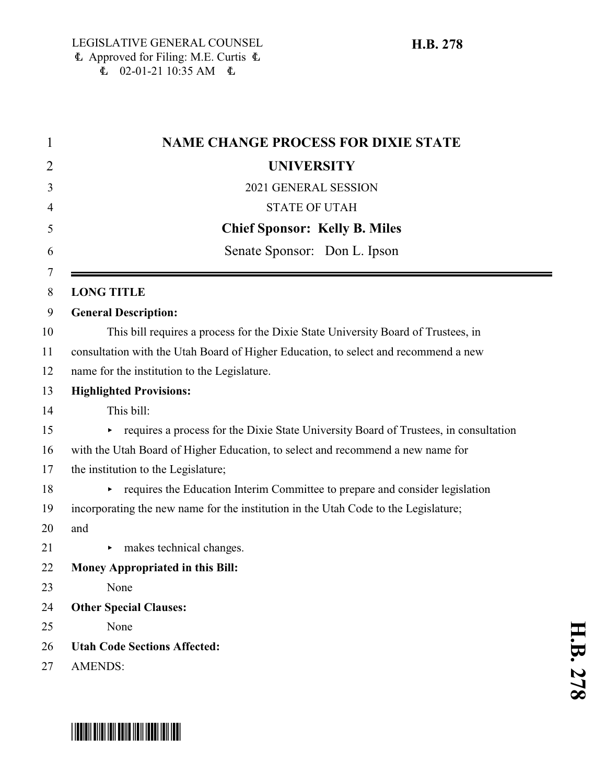| 1      | <b>NAME CHANGE PROCESS FOR DIXIE STATE</b>                                           |
|--------|--------------------------------------------------------------------------------------|
| 2      | <b>UNIVERSITY</b>                                                                    |
| 3      | 2021 GENERAL SESSION                                                                 |
| 4      | <b>STATE OF UTAH</b>                                                                 |
| 5      | <b>Chief Sponsor: Kelly B. Miles</b>                                                 |
| 6      | Senate Sponsor: Don L. Ipson                                                         |
| 7<br>8 | <b>LONG TITLE</b>                                                                    |
| 9      | <b>General Description:</b>                                                          |
| 10     | This bill requires a process for the Dixie State University Board of Trustees, in    |
| 11     | consultation with the Utah Board of Higher Education, to select and recommend a new  |
| 12     | name for the institution to the Legislature.                                         |
| 13     | <b>Highlighted Provisions:</b>                                                       |
| 14     | This bill:                                                                           |
| 15     | requires a process for the Dixie State University Board of Trustees, in consultation |
| 16     | with the Utah Board of Higher Education, to select and recommend a new name for      |
| 17     | the institution to the Legislature;                                                  |
| 18     | requires the Education Interim Committee to prepare and consider legislation         |
| 19     | incorporating the new name for the institution in the Utah Code to the Legislature;  |
| 20     | and                                                                                  |
| 21     | makes technical changes.                                                             |
| 22     | <b>Money Appropriated in this Bill:</b>                                              |
| 23     | None                                                                                 |
| 24     | <b>Other Special Clauses:</b>                                                        |
| 25     | None                                                                                 |
| 26     | <b>Utah Code Sections Affected:</b>                                                  |
| 27     | <b>AMENDS:</b>                                                                       |



## \*HB0278\*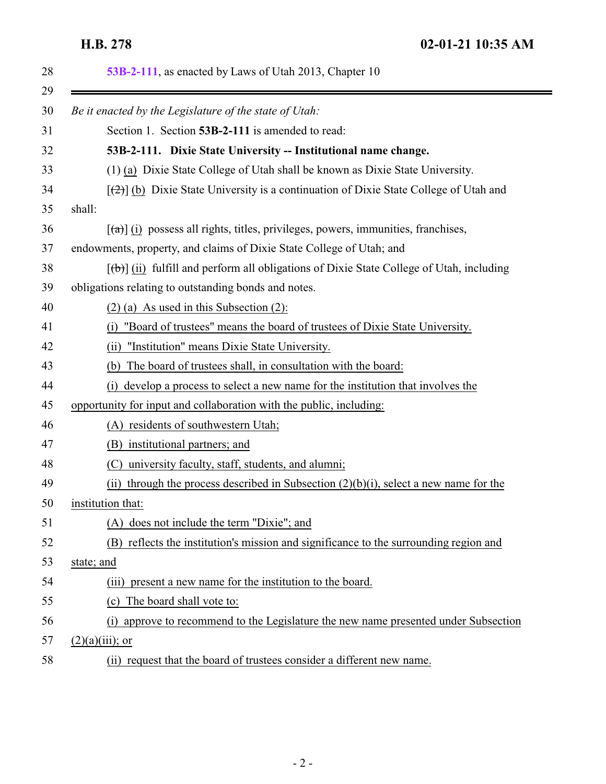<span id="page-1-0"></span>**H.B. 278 02-01-21 10:35 AM**

eri

| 28       | 53B-2-111, as enacted by Laws of Utah 2013, Chapter 10                                                 |
|----------|--------------------------------------------------------------------------------------------------------|
| 29<br>30 | Be it enacted by the Legislature of the state of Utah:                                                 |
|          | Section 1. Section 53B-2-111 is amended to read:                                                       |
| 32       | 53B-2-111. Dixie State University -- Institutional name change.                                        |
|          | (1) (a) Dixie State College of Utah shall be known as Dixie State University.                          |
|          | $[\frac{1}{2}]$ (b) Dixie State University is a continuation of Dixie State College of Utah and        |
|          | shall:                                                                                                 |
|          | $\left[\frac{1}{2}\right]$ (i) possess all rights, titles, privileges, powers, immunities, franchises, |
|          | endowments, property, and claims of Dixie State College of Utah; and                                   |
|          | $[\theta]$ (ii) fulfill and perform all obligations of Dixie State College of Utah, including          |
|          | obligations relating to outstanding bonds and notes.                                                   |
|          | $(2)$ (a) As used in this Subsection (2):                                                              |
|          | "Board of trustees" means the board of trustees of Dixie State University.<br>(i)                      |
|          | (ii) "Institution" means Dixie State University.                                                       |
|          | The board of trustees shall, in consultation with the board:<br>(b)                                    |
|          | (i) develop a process to select a new name for the institution that involves the                       |
|          | opportunity for input and collaboration with the public, including:                                    |
|          | (A) residents of southwestern Utah;                                                                    |
|          | (B) institutional partners; and                                                                        |
|          | university faculty, staff, students, and alumni;<br>(C)                                                |
|          | (ii) through the process described in Subsection $(2)(b)(i)$ , select a new name for the               |
|          | institution that:                                                                                      |
|          | (A) does not include the term "Dixie"; and                                                             |
|          | (B) reflects the institution's mission and significance to the surrounding region and                  |
|          | state; and                                                                                             |
|          | present a new name for the institution to the board.<br>(iii)                                          |
|          | The board shall vote to:<br>(c)                                                                        |
|          | approve to recommend to the Legislature the new name presented under Subsection<br>(i)                 |
|          | $(2)(a)(iii)$ ; or                                                                                     |
|          | (ii) request that the board of trustees consider a different new name.                                 |